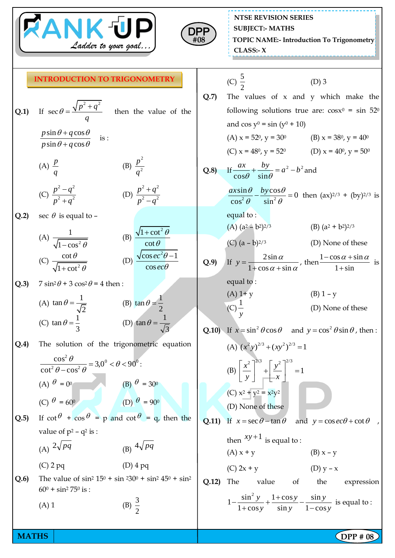



**NTSE REVISION SERIES TOPIC NAME:- Introduction To Trigonometry CLASS:- X SUBJECT:- MATHS**

## **INTRODUCTION TO TRIGONOMETRY**

| <b>Q.1</b> ) If $\sec \theta = \frac{\sqrt{p^2 + q^2}}{q}$     |  | then the value of the |  |
|----------------------------------------------------------------|--|-----------------------|--|
| $p\sin\theta + q\cos\theta$ is:<br>$p\sin\theta + q\cos\theta$ |  |                       |  |

 $(A)$   $\frac{p}{q}$ *q* (B) 2 2 *p q*

(C) 
$$
\frac{p^2 - q^2}{p^2 + q^2}
$$
 (D)  $\frac{p^2 + q^2}{p^2 - q^2}$ 

 $Q.2$  $\theta$  is equal to –

|                            | $\sqrt{1 + \cot^2 \theta}$ |  |  |
|----------------------------|----------------------------|--|--|
| $\sqrt{1-\cos^2\theta}$    | $\cot \theta$              |  |  |
| $\cot \theta$              | $\sqrt{\cos ec^2\theta-1}$ |  |  |
| $\sqrt{1 + \cot^2 \theta}$ | $\cos ec\theta$            |  |  |

Q.3)  $7 sin^2 \theta + 3 cos^2 \theta = 4$  then:

(A) 
$$
\tan \theta = \frac{1}{\sqrt{2}}
$$
  
\n(B)  $\tan \theta = \frac{1}{2}$   
\n(C)  $\tan \theta = \frac{1}{3}$   
\n(D)  $\tan \theta = \frac{1}{\sqrt{3}}$ 

**Q.4)** The solution of the trigonometric equation

$$
\frac{\cos^2 \theta}{\cot^2 \theta - \cos^2 \theta} = 3,0^0 < \theta < 90^0:
$$
\n(A)  $\theta = 0^0$ 

\n(B)  $\theta = 30^0$ 

\n(C)  $\theta = 60^0$ 

\n(D)  $\theta = 90^0$ 

**Q.5**) If  $\cot \theta + \cos \theta = p$  and  $\cot \theta = q$ , then the value of  $p^2 - q^2$  is :

(A) 
$$
2\sqrt{pq}
$$
 (B)  $4\sqrt{pq}$ 

(C) 2 pq (D) 4 pq **Q.6**) The value of  $\sin^2 15^0 + \sin^2 20^0 + \sin^2 45^0 + \sin^2 25^0$  $60^0 + \sin^2 75^0$  is :

> $(A)$  1 3 2

(C) 
$$
\frac{5}{2}
$$
 (D) 3  
Q.7) The values of x and y which make the

following solutions true are:  $cos x^0 = sin 52^{\circ}$ and  $\cos y^0 = \sin (y^0 + 10)$ (A)  $x = 52^0$ ,  $y = 30^0$  (B)  $x = 38^0$ ,  $y = 40^0$ 

(C) 
$$
x = 48^\circ
$$
,  $y = 52^\circ$  (D)  $x = 40^\circ$ ,  $y = 50^\circ$ 

Q.8) If 
$$
\frac{ax}{\cos\theta} + \frac{by}{\sin\theta} = a^2 - b^2
$$
 and  

$$
\frac{ax\sin\theta}{\cos^2\theta} - \frac{by\cos\theta}{\sin^2\theta} = 0
$$
 then  $(ax)^{2/3} + (by)^{2/3}$  is

equal to :

(A) 
$$
(a^2 - b^2)^{2/3}
$$
 (B)  $(a^2 + b^2)^{2/3}$ 

(C) 
$$
(a - b)^{2/3}
$$
 (D) None of these

Q.9) If 
$$
y = \frac{2\sin \alpha}{1 + \cos \alpha + \sin \alpha}
$$
, then  $\frac{1 - \cos \alpha + \sin \alpha}{1 + \sin}$  is  
equal to:

(A) 1+ y  
\n(B) 1 - y  
\n(C) 
$$
\frac{1}{y}
$$
  
\n(D) None of these

**Q.10**) If  $x = \sin^2 \theta \cos \theta$  and  $y = \cos^2 \theta \sin \theta$ , then:

(A) 
$$
(x^2 y)^{2/3} + (xy^2)^{2/3} = 1
$$
  
\n(B)  $\left[ \frac{x^2}{y} \right]^{2/3} + \left[ \frac{y^2}{x} \right]^{2/3} = 1$   
\n(C)  $x^2 + y^2 = x^2y^2$   
\n(D) None of these

**Q.11)** If  $x = \sec \theta - \tan \theta$  and  $y = \cos \theta + \cot \theta$ ,

then 
$$
xy+1
$$
 is equal to :  
\n(A)  $x + y$   
\n(B)  $x - y$   
\n(C)  $2x + y$   
\n(D)  $y - x$ 

Q.12) The value of the expression  
\n
$$
1 - \frac{\sin^2 y}{1 + \cos y} + \frac{1 + \cos y}{\sin y} - \frac{\sin y}{1 - \cos y}
$$
 is equal to:

**MATHS**  $\begin{bmatrix} \text{DPP } # 08 \end{bmatrix}$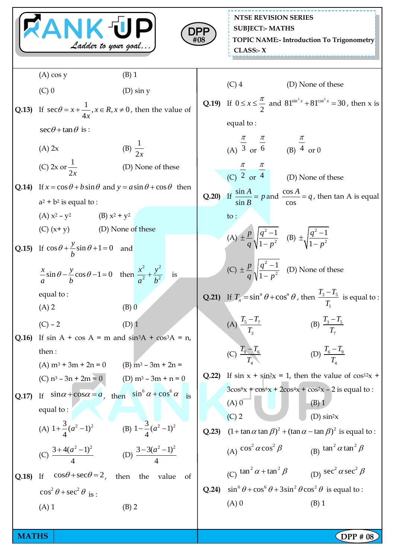| <b>RANK UP</b><br>DPF<br>Ladder to your goal |                                                              |                                                                                                         |       | <b>NTSE REVISION SERIES</b><br><b>SUBJECT:- MATHS</b><br>#08<br><b>TOPIC NAME:- Introduction To Trigonometry</b><br>CLASS: X |                                                                                                    |  |
|----------------------------------------------|--------------------------------------------------------------|---------------------------------------------------------------------------------------------------------|-------|------------------------------------------------------------------------------------------------------------------------------|----------------------------------------------------------------------------------------------------|--|
|                                              | $(A)$ cos y                                                  | $(B)$ 1                                                                                                 |       |                                                                                                                              |                                                                                                    |  |
|                                              | $(C)$ 0                                                      | $(D)$ sin y                                                                                             |       | $(C)$ 4                                                                                                                      | (D) None of these                                                                                  |  |
|                                              |                                                              | <b>Q.13)</b> If $\sec\theta = x + \frac{1}{4x}, x \in R, x \neq 0$ , then the value of                  |       |                                                                                                                              | <b>Q.19)</b> If $0 \le x \le \frac{\pi}{2}$ and $81^{\sin^2 x} + 81^{\cos^2 x} = 30$ , then x is   |  |
|                                              | $\sec\theta + \tan\theta$ is :                               |                                                                                                         |       | equal to:                                                                                                                    |                                                                                                    |  |
|                                              | $(A)$ 2x                                                     | (B) $\frac{1}{2x}$                                                                                      |       | (A) $\frac{\pi}{3}$ or $\frac{\pi}{6}$ (B) $\frac{\pi}{4}$ or 0                                                              |                                                                                                    |  |
|                                              | (C) 2x or $\frac{1}{2x}$                                     | (D) None of these                                                                                       |       |                                                                                                                              | (C) $\frac{\pi}{2}$ or $\frac{\pi}{4}$ (D) None of these                                           |  |
|                                              | $a^2 + b^2$ is equal to :                                    | <b>Q.14</b> ) If $x = \cos \theta + b \sin \theta$ and $y = a \sin \theta + \cos \theta$ then           |       |                                                                                                                              | <b>Q.20</b> ) If $\frac{\sin A}{\sin B} = p$ and $\frac{\cos A}{\cos A} = q$ , then tan A is equal |  |
|                                              | (A) $x^2 - y^2$ (B) $x^2 + y^2$                              |                                                                                                         |       | to:                                                                                                                          |                                                                                                    |  |
|                                              | (C) $(x+y)$ (D) None of these                                |                                                                                                         |       |                                                                                                                              |                                                                                                    |  |
|                                              | Q.15) If $\cos \theta + \frac{y}{h} \sin \theta + 1 = 0$ and |                                                                                                         |       | (A) $\pm \frac{p}{a} \sqrt{\frac{q^2-1}{1-p^2}}$ (B) $\pm \sqrt{\frac{q^2-1}{1-p^2}}$                                        |                                                                                                    |  |
|                                              |                                                              | $rac{x}{a}$ sin $\theta - \frac{y}{b}$ cos $\theta - 1 = 0$ then $\frac{x^2}{a^2} + \frac{y^2}{b^2}$ is |       |                                                                                                                              | (C) $\pm \frac{p}{a} \sqrt{\frac{q^2-1}{1-p^2}}$ (D) None of these                                 |  |
|                                              | equal to:                                                    |                                                                                                         |       |                                                                                                                              | <b>Q.21)</b> If $T_n = \sin^n \theta + \cos^n \theta$ , then $\frac{T_3 - T_5}{T_1}$ is equal to : |  |
|                                              | $(A)$ 2                                                      | $(B)$ 0                                                                                                 |       |                                                                                                                              |                                                                                                    |  |
|                                              | $(C) - 2$                                                    | $(D)$ 1                                                                                                 |       | (A) $\frac{T_5 - T_7}{T_3}$                                                                                                  | (B) $\frac{T_3 - T_5}{T_5}$                                                                        |  |
| Q.16                                         |                                                              | If $sin A + cos A = m$ and $sin3A + cos3A = n$ ,                                                        |       |                                                                                                                              |                                                                                                    |  |
|                                              | then:<br>$(A) m3 + 3m + 2n = 0$                              | (B) $m^3 - 3m + 2n =$                                                                                   |       | (C) $\frac{T_9 - T_6}{T}$                                                                                                    | (D) $\frac{T_6 - T_9}{T_1}$                                                                        |  |
|                                              | (C) $n^3 - 3n + 2m = 0$                                      | (D) $m^3 - 3m + n = 0$                                                                                  | Q.22  |                                                                                                                              | If $\sin x + \sin^2 x = 1$ , then the value of $\cos^{12} x$ +                                     |  |
|                                              |                                                              | If $\sin \alpha + \cos \alpha = a$ , then $\sin^6 \alpha + \cos^6 \alpha$ is                            |       |                                                                                                                              | $3\cos^8 x + \cos^6 x + 2\cos^4 x + \cos^2 x - 2$ is equal to:                                     |  |
| Q.17                                         |                                                              |                                                                                                         |       | $(A)$ 0                                                                                                                      | $(B)$ 1                                                                                            |  |
|                                              | equal to:                                                    |                                                                                                         |       | $(C)$ 2                                                                                                                      | (D) $\sin^2 x$                                                                                     |  |
|                                              | (A) $1+\frac{3}{4}(a^2-1)^2$                                 | (B) $1-\frac{3}{4}(a^2-1)^2$                                                                            | Q.23) |                                                                                                                              | $(1 + \tan \alpha \tan \beta)^2 + (\tan \alpha - \tan \beta)^2$ is equal to:                       |  |
|                                              | (C) $\frac{3+4(a^2-1)^2}{4}$                                 | (D) $\frac{3-3(a^2-1)^2}{4}$                                                                            |       | (A) $\cos^2 \alpha \cos^2 \beta$                                                                                             | (B) $\tan^2 \alpha \tan^2 \beta$                                                                   |  |
| Q.18                                         | $\cos\theta + \sec\theta = 2$ ,<br>If                        | then<br>the<br>value<br>of                                                                              |       | (C) $\tan^2 \alpha + \tan^2 \beta$                                                                                           | (D) $\sec^2 \alpha \sec^2 \beta$                                                                   |  |
|                                              | $\cos^2\theta + \sec^2\theta$ is:                            |                                                                                                         | Q.24) |                                                                                                                              | $\sin^6 \theta + \cos^6 \theta + 3\sin^2 \theta \cos^2 \theta$ is equal to:                        |  |
|                                              | $(A)$ 1                                                      | (B) 2                                                                                                   |       | $(A)$ 0                                                                                                                      | $(B)$ 1                                                                                            |  |
|                                              |                                                              |                                                                                                         |       |                                                                                                                              |                                                                                                    |  |

**MATHS DPP** # 08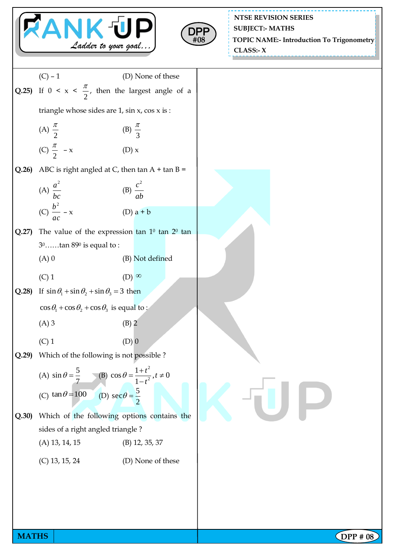



**NTSE REVISION SERIES TOPIC NAME:- Introduction To Trigonometry CLASS:- X SUBJECT:- MATHS**

|              | $(C) - 1$<br>(D) None of these                                                       |          |
|--------------|--------------------------------------------------------------------------------------|----------|
| Q.25)        | If $0 \le x \le \frac{\pi}{2}$ , then the largest angle of a                         |          |
|              | triangle whose sides are $1$ , $\sin x$ , $\cos x$ is :                              |          |
|              | (A) $\frac{\pi}{2}$<br>(B) $\frac{\pi}{3}$                                           |          |
|              | (C) $\frac{\pi}{2}$ – x<br>(D) x                                                     |          |
| Q.26         | ABC is right angled at C, then $\tan A + \tan B =$                                   |          |
|              | (A) $\frac{a^2}{bc}$<br>(C) $\frac{b^2}{ac} - x$<br>(B) $\frac{c^2}{ab}$             |          |
|              | $(D)$ a + b                                                                          |          |
| Q.27         | The value of the expression tan $1^0$ tan $2^0$ tan                                  |          |
|              | $30$ tan $890$ is equal to:                                                          |          |
|              | (B) Not defined<br>$(A)$ 0                                                           |          |
|              | $(C)$ 1<br>$(D)$ $\infty$                                                            |          |
| Q.28         | If $\sin \theta_1 + \sin \theta_2 + \sin \theta_3 = 3$ then                          |          |
|              | $\cos\theta_1 + \cos\theta_2 + \cos\theta_3$ is equal to:                            |          |
|              | $(A)$ 3<br>$(B)$ 2                                                                   |          |
|              | $(C)$ 1<br>$(D)$ <sup>0</sup>                                                        |          |
| Q.29         | Which of the following is not possible ?                                             |          |
|              | (B) $\cos \theta = \frac{1+t^2}{1-t^2}, t \neq 0$<br>(A) $\sin \theta = \frac{5}{7}$ |          |
|              | (C) $\tan \theta = 100$ (D) $\sec \theta = \frac{5}{2}$                              |          |
|              |                                                                                      |          |
| Q.30)        | Which of the following options contains the                                          |          |
|              | sides of a right angled triangle?                                                    |          |
|              | $(A)$ 13, 14, 15<br>$(B)$ 12, 35, 37                                                 |          |
|              | $(C)$ 13, 15, 24<br>(D) None of these                                                |          |
|              |                                                                                      |          |
|              |                                                                                      |          |
|              |                                                                                      |          |
|              |                                                                                      |          |
| <b>MATHS</b> |                                                                                      | OPP # 08 |